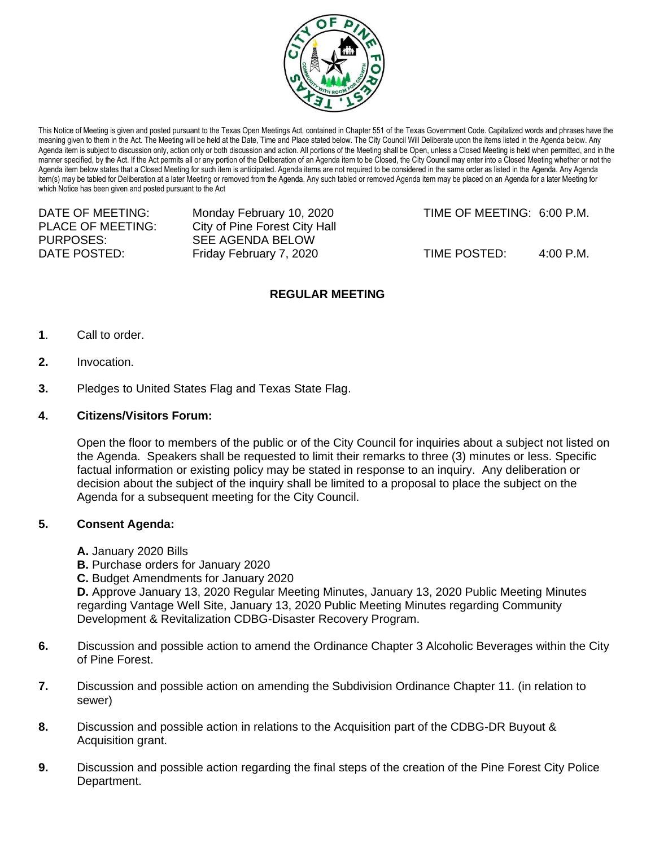

This Notice of Meeting is given and posted pursuant to the Texas Open Meetings Act, contained in Chapter 551 of the Texas Government Code. Capitalized words and phrases have the meaning given to them in the Act. The Meeting will be held at the Date, Time and Place stated below. The City Council Will Deliberate upon the items listed in the Agenda below. Any Agenda item is subject to discussion only, action only or both discussion and action. All portions of the Meeting shall be Open, unless a Closed Meeting is held when permitted, and in the manner specified, by the Act. If the Act permits all or any portion of the Deliberation of an Agenda item to be Closed, the City Council may enter into a Closed Meeting whether or not the Agenda item below states that a Closed Meeting for such item is anticipated. Agenda items are not required to be considered in the same order as listed in the Agenda. Any Agenda item(s) may be tabled for Deliberation at a later Meeting or removed from the Agenda. Any such tabled or removed Agenda item may be placed on an Agenda for a later Meeting for which Notice has been given and posted pursuant to the Act

| DATE OF MEETING:  | Monday February 10, 2020      | TIME OF MEETING: 6:00 P.M. |           |
|-------------------|-------------------------------|----------------------------|-----------|
| PLACE OF MEETING: | City of Pine Forest City Hall |                            |           |
| PURPOSES:         | SEE AGENDA BELOW              |                            |           |
| DATE POSTED:      | Friday February 7, 2020       | TIME POSTED:               | 4:00 P.M. |
|                   |                               |                            |           |

## **REGULAR MEETING**

- **1**. Call to order.
- **2.** Invocation.
- **3.** Pledges to United States Flag and Texas State Flag.

## **4. Citizens/Visitors Forum:**

Open the floor to members of the public or of the City Council for inquiries about a subject not listed on the Agenda. Speakers shall be requested to limit their remarks to three (3) minutes or less. Specific factual information or existing policy may be stated in response to an inquiry. Any deliberation or decision about the subject of the inquiry shall be limited to a proposal to place the subject on the Agenda for a subsequent meeting for the City Council.

## **5. Consent Agenda:**

- **A.** January 2020 Bills
- **B.** Purchase orders for January 2020
- **C.** Budget Amendments for January 2020

**D.** Approve January 13, 2020 Regular Meeting Minutes, January 13, 2020 Public Meeting Minutes regarding Vantage Well Site, January 13, 2020 Public Meeting Minutes regarding Community Development & Revitalization CDBG-Disaster Recovery Program.

- **6.** Discussion and possible action to amend the Ordinance Chapter 3 Alcoholic Beverages within the City of Pine Forest.
- **7.** Discussion and possible action on amending the Subdivision Ordinance Chapter 11. (in relation to sewer)
- **8.** Discussion and possible action in relations to the Acquisition part of the CDBG-DR Buyout & Acquisition grant.
- **9.** Discussion and possible action regarding the final steps of the creation of the Pine Forest City Police Department.